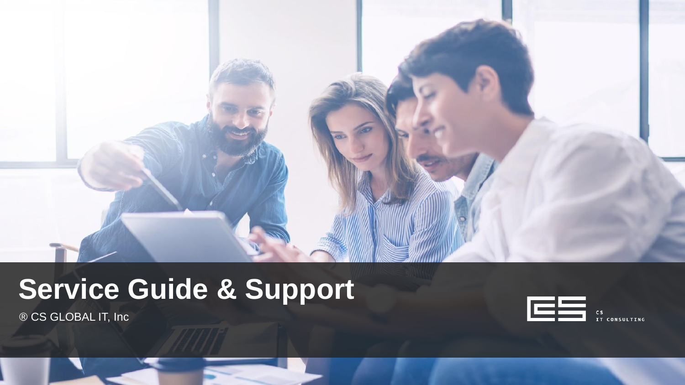

# **Service Guide & Support**

® CS GLOBAL IT, Inc

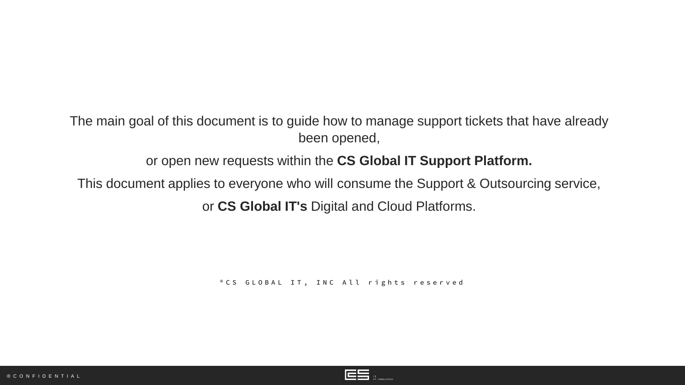#### The main goal of this document is to guide how to manage support tickets that have already been opened,

or open new requests within the **CS Global IT Support Platform.**

This document applies to everyone who will consume the Support & Outsourcing service,

or **CS Global IT's** Digital and Cloud Platforms.

<sup>®</sup> CS G LOBAL IT, INC All rights reserved

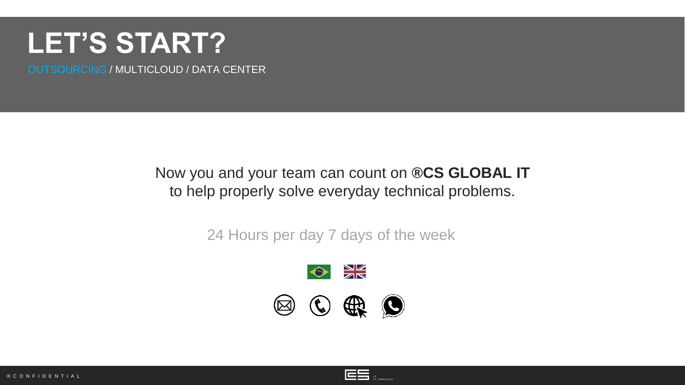### **LET'S START?**

OUTSOURCING / MULTICLOUD / DATA CENTER

### Now you and your team can count on **®CS GLOBAL IT** to help properly solve everyday technical problems.

24 Hours per day 7 days of the week





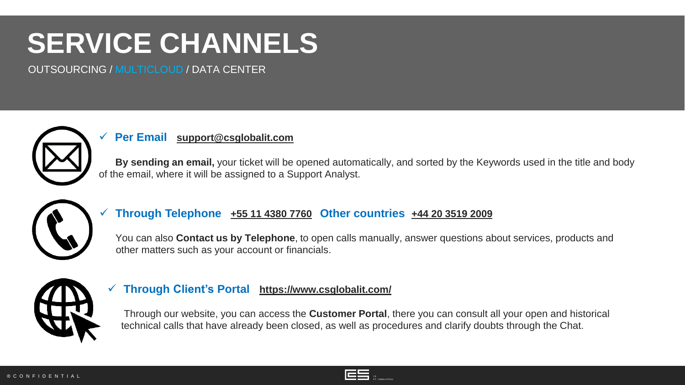# **SERVICE CHANNELS**

OUTSOURCING / MULTICLOUD / DATA CENTER



#### ✓ **Per Email [support@csglobalit.com](mailto:suporte@csglobalit.com)**

**By sending an email,** your ticket will be opened automatically, and sorted by the Keywords used in the title and body of the email, where it will be assigned to a Support Analyst.



#### ✓ **Through Telephone <+55 11 4380 7760> Other countries <+44 20 3519 2009>**

You can also **Contact us by Telephone**, to open calls manually, answer questions about services, products and other matters such as your account or financials.



#### ✓ **Through Client's Portal <https://www.csglobalit.com/>**

Through our website, you can access the **Customer Portal**, there you can consult all your open and historical technical calls that have already been closed, as well as procedures and clarify doubts through the Chat.

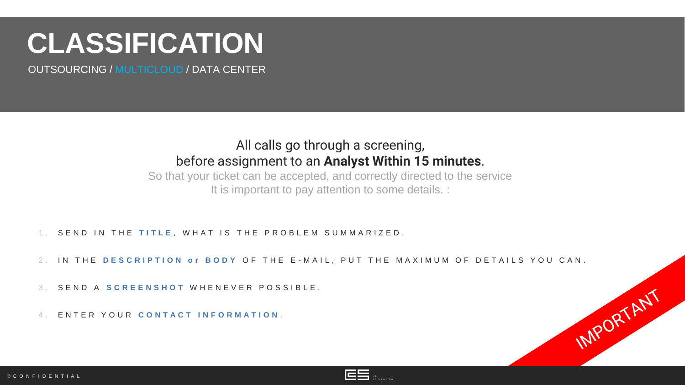## **CLASSIFICATION**

OUTSOURCING / MULTICLOUD / DATA CENTER

### All calls go through a screening, before assignment to an **Analyst Within 15 minutes**.

So that your ticket can be accepted, and correctly directed to the service It is important to pay attention to some details. :

- 1. SEND IN THE TITLE, WHAT IS THE PROBLEM SUMMARIZED.
- 2. IN THE **DESCRIPTION OF BODY OF THE E-MAIL. PUT THE MAXIMUM OF DETAILS YOU CAN.**
- 3 . S E N D A **S C R E E N S H O T** W H E N E V E R P O S S I B L E .
- 4 . E N T E R Y O U R **C O N T A C T I N F O R M A T I O N** .



IMPORTANT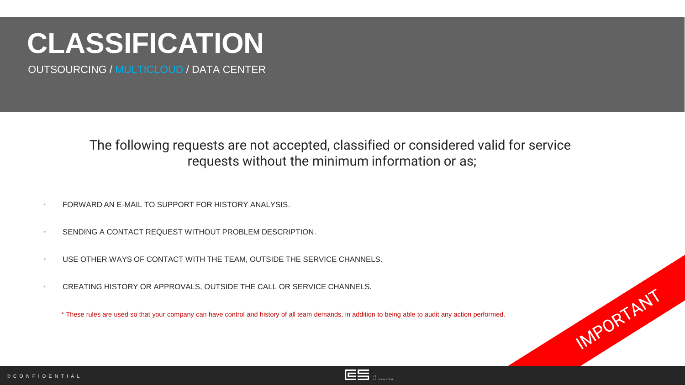# **CLASSIFICATION**

OUTSOURCING / MULTICLOUD / DATA CENTER

### The following requests are not accepted, classified or considered valid for service requests without the minimum information or as;

- FORWARD AN E-MAIL TO SUPPORT FOR HISTORY ANALYSIS.
- SENDING A CONTACT REQUEST WITHOUT PROBLEM DESCRIPTION.
- USE OTHER WAYS OF CONTACT WITH THE TEAM, OUTSIDE THE SERVICE CHANNELS.
- CREATING HISTORY OR APPROVALS, OUTSIDE THE CALL OR SERVICE CHANNELS.

\* These rules are used so that your company can have control and history of all team demands, in addition to being able to audit any action performed.



IMPORTANT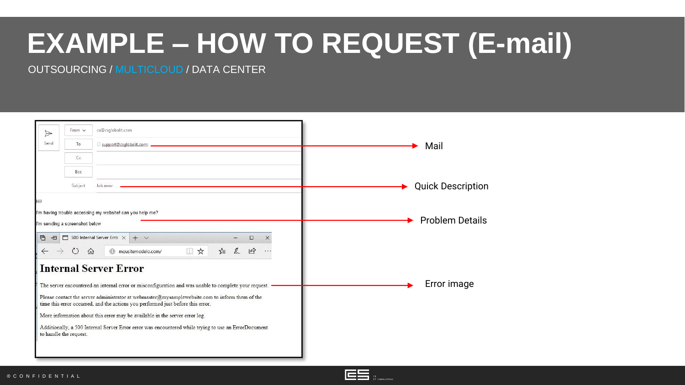# **EXAMPLE – HOW TO REQUEST (E-mail)**

OUTSOURCING / MULTICLOUD / DATA CENTER



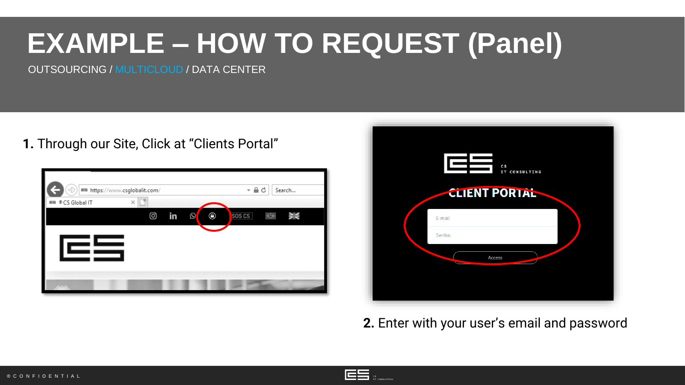# **EXAMPLE – HOW TO REQUEST (Panel)**

OUTSOURCING / MULTICLOUD / DATA CENTER

**1.** Through our Site, Click at "Clients Portal"

| e)                | ■■ https://www.csglobalit.com/ | $\Omega$<br>Search<br>Ċ          |  |  |  |
|-------------------|--------------------------------|----------------------------------|--|--|--|
| ES ® CS Global IT | $\times$                       |                                  |  |  |  |
| I                 | ම<br>in<br>Ø                   | ◉<br>SOS CS<br>$\Theta$<br>er ve |  |  |  |
|                   |                                |                                  |  |  |  |
|                   |                                |                                  |  |  |  |



**2.** Enter with your user's email and password

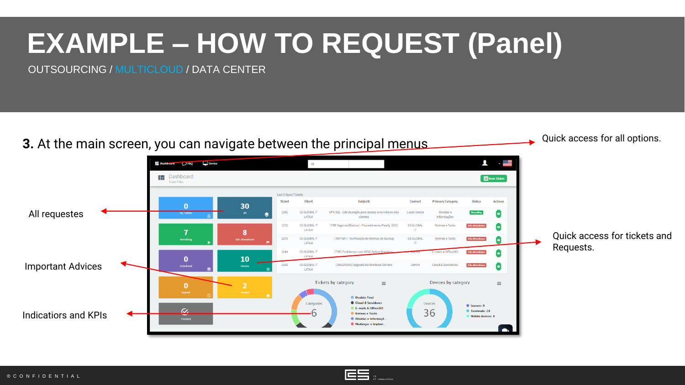# **EXAMPLE – HOW TO REQUEST (Panel)**

OUTSOURCING / MULTICLOUD / DATA CENTER



![](_page_8_Picture_3.jpeg)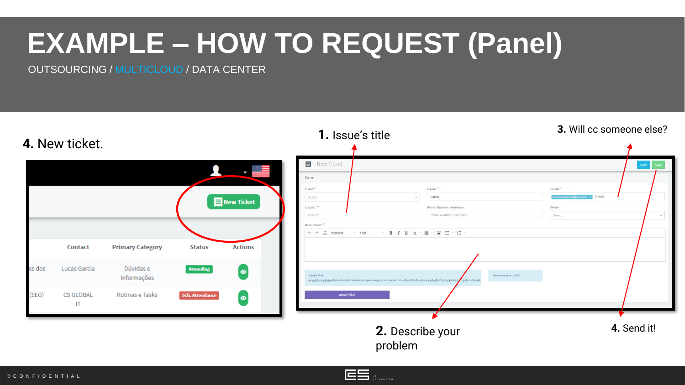# **EXAMPLE – HOW TO REQUEST (Panel)**

OUTSOURCING / MULTICLOUD / DATA CENTER

![](_page_9_Figure_2.jpeg)

![](_page_9_Picture_4.jpeg)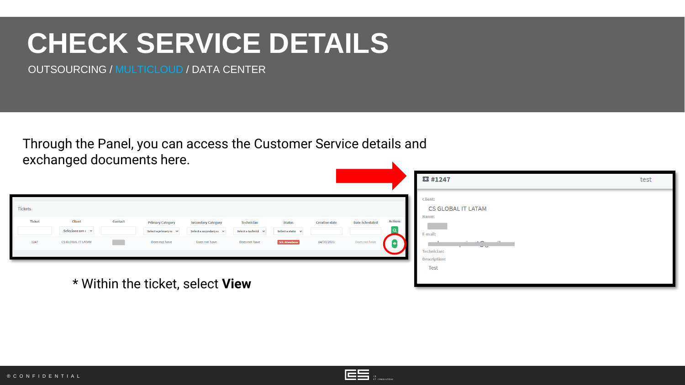### **CHECK SERVICE DETAILS**

OUTSOURCING / MULTICLOUD / DATA CENTER

Through the Panel, you can access the Customer Service details and exchanged documents here.

|                                  |                                                                         |         |                                                                        |                                                                                    |                                                         |                                                       |                                    |                                        |                             | <b>四#1247</b>                                                                                                       | test |
|----------------------------------|-------------------------------------------------------------------------|---------|------------------------------------------------------------------------|------------------------------------------------------------------------------------|---------------------------------------------------------|-------------------------------------------------------|------------------------------------|----------------------------------------|-----------------------------|---------------------------------------------------------------------------------------------------------------------|------|
| Tickets<br><b>Ticket</b><br>1247 | <b>Client</b><br>Selecione um $\epsilon$ $\times$<br>CS GLOBAL IT LATAM | Contact | <b>Primary Category</b><br>Select a primary ca $\sim$<br>Does not have | <b>Secondary Category</b><br>Select a secondary $c\bar{c}$ $\sim$<br>Does not have | Technician<br>Select a technici $\vee$<br>Does not have | <b>Status</b><br>Select a statu: v<br>Sch. Attendance | <b>Creation date</b><br>04/10/2021 | <b>Date Scheduled</b><br>Does not have | <b>Actions</b><br>$\bullet$ | Client:<br><b>CS GLOBAL IT LATAM</b><br>Name:<br>E-mail:<br>الاستعمال<br>. .<br>$\sim$ $\sim$<br><b>Technician:</b> |      |
| * Within the ticket, select View |                                                                         |         |                                                                        |                                                                                    |                                                         |                                                       | <b>Description:</b><br>Test        |                                        |                             |                                                                                                                     |      |

![](_page_10_Picture_5.jpeg)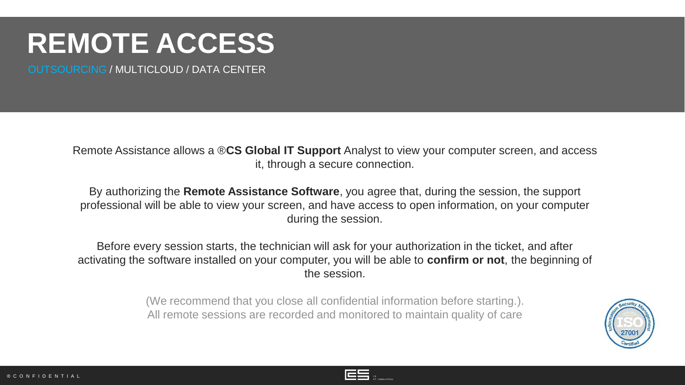## **REMOTE ACCESS**

OUTSOURCING / MULTICLOUD / DATA CENTER

Remote Assistance allows a ®**CS Global IT Support** Analyst to view your computer screen, and access it, through a secure connection.

By authorizing the **Remote Assistance Software**, you agree that, during the session, the support professional will be able to view your screen, and have access to open information, on your computer during the session.

Before every session starts, the technician will ask for your authorization in the ticket, and after activating the software installed on your computer, you will be able to **confirm or not**, the beginning of the session.

> (We recommend that you close all confidential information before starting.). All remote sessions are recorded and monitored to maintain quality of care

![](_page_11_Picture_6.jpeg)

![](_page_11_Picture_8.jpeg)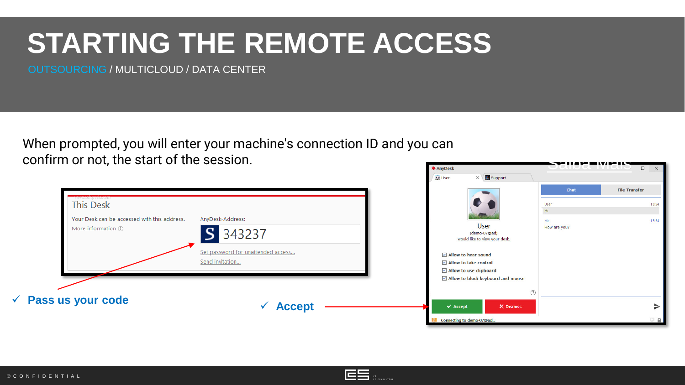## **STARTING THE REMOTE ACCESS**

OUTSOURCING / MULTICLOUD / DATA CENTER

When prompted, you will enter your machine's connection ID and you can confirm or not, the start of the session. AnyDesk

![](_page_12_Picture_3.jpeg)

![](_page_12_Picture_4.jpeg)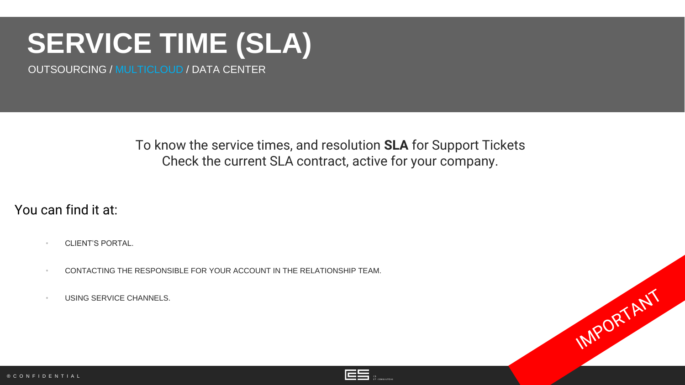# **SERVICE TIME (SLA)**

OUTSOURCING / MULTICLOUD / DATA CENTER

To know the service times, and resolution **SLA** for Support Tickets Check the current SLA contract, active for your company.

You can find it at:

- CLIENT'S PORTAL.
- CONTACTING THE RESPONSIBLE FOR YOUR ACCOUNT IN THE RELATIONSHIP TEAM.
- USING SERVICE CHANNELS.

![](_page_13_Picture_7.jpeg)

IMPORTANT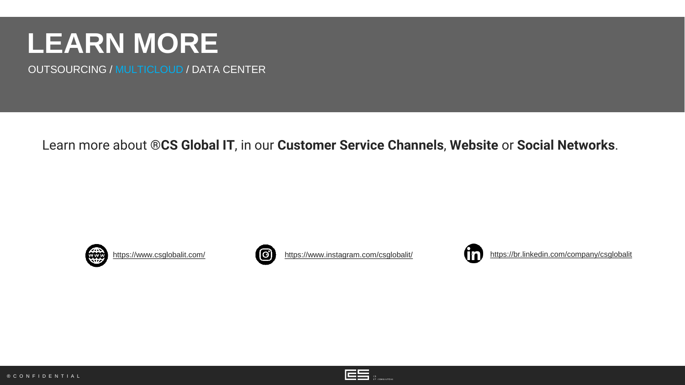### **LEARN MORE**

OUTSOURCING / MULTICLOUD / DATA CENTER

Learn more about ®**CS Global IT**, in our **Customer Service Channels**, **Website** or **Social Networks**.

![](_page_14_Picture_3.jpeg)

![](_page_14_Picture_4.jpeg)

<https://www.csglobalit.com/> **• <https://www.instagram.com/csglobalit/>** • <https://br.linkedin.com/company/csglobalit>

![](_page_14_Picture_6.jpeg)

![](_page_14_Picture_8.jpeg)

![](_page_14_Picture_9.jpeg)